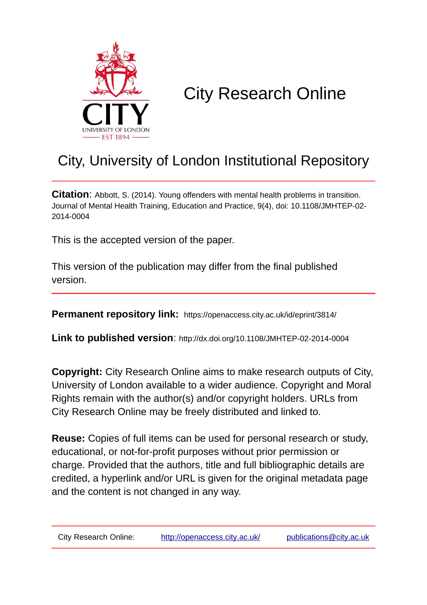

# City Research Online

# City, University of London Institutional Repository

**Citation**: Abbott, S. (2014). Young offenders with mental health problems in transition. Journal of Mental Health Training, Education and Practice, 9(4), doi: 10.1108/JMHTEP-02- 2014-0004

This is the accepted version of the paper.

This version of the publication may differ from the final published version.

**Permanent repository link:** https://openaccess.city.ac.uk/id/eprint/3814/

**Link to published version**: http://dx.doi.org/10.1108/JMHTEP-02-2014-0004

**Copyright:** City Research Online aims to make research outputs of City, University of London available to a wider audience. Copyright and Moral Rights remain with the author(s) and/or copyright holders. URLs from City Research Online may be freely distributed and linked to.

**Reuse:** Copies of full items can be used for personal research or study, educational, or not-for-profit purposes without prior permission or charge. Provided that the authors, title and full bibliographic details are credited, a hyperlink and/or URL is given for the original metadata page and the content is not changed in any way.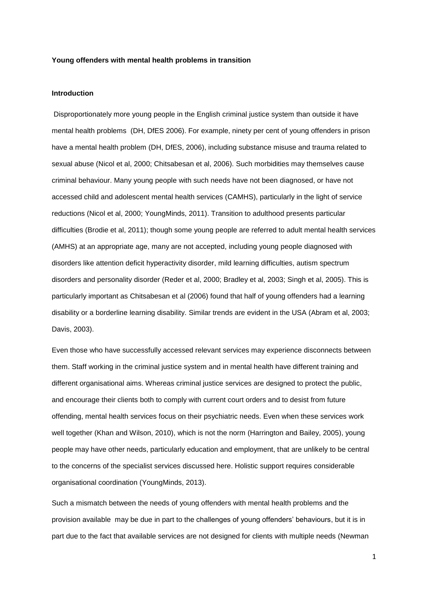# **Young offenders with mental health problems in transition**

# **Introduction**

Disproportionately more young people in the English criminal justice system than outside it have mental health problems (DH, DfES 2006). For example, ninety per cent of young offenders in prison have a mental health problem (DH, DfES, 2006), including substance misuse and trauma related to sexual abuse (Nicol et al, 2000; Chitsabesan et al, 2006). Such morbidities may themselves cause criminal behaviour. Many young people with such needs have not been diagnosed, or have not accessed child and adolescent mental health services (CAMHS), particularly in the light of service reductions (Nicol et al, 2000; YoungMinds, 2011). Transition to adulthood presents particular difficulties (Brodie et al, 2011); though some young people are referred to adult mental health services (AMHS) at an appropriate age, many are not accepted, including young people diagnosed with disorders like attention deficit hyperactivity disorder, mild learning difficulties, autism spectrum disorders and personality disorder (Reder et al, 2000; Bradley et al, 2003; Singh et al, 2005). This is particularly important as Chitsabesan et al (2006) found that half of young offenders had a learning disability or a borderline learning disability. Similar trends are evident in the USA (Abram et al, 2003; Davis, 2003).

Even those who have successfully accessed relevant services may experience disconnects between them. Staff working in the criminal justice system and in mental health have different training and different organisational aims. Whereas criminal justice services are designed to protect the public, and encourage their clients both to comply with current court orders and to desist from future offending, mental health services focus on their psychiatric needs. Even when these services work well together (Khan and Wilson, 2010), which is not the norm (Harrington and Bailey, 2005), young people may have other needs, particularly education and employment, that are unlikely to be central to the concerns of the specialist services discussed here. Holistic support requires considerable organisational coordination (YoungMinds, 2013).

Such a mismatch between the needs of young offenders with mental health problems and the provision available may be due in part to the challenges of young offenders' behaviours, but it is in part due to the fact that available services are not designed for clients with multiple needs (Newman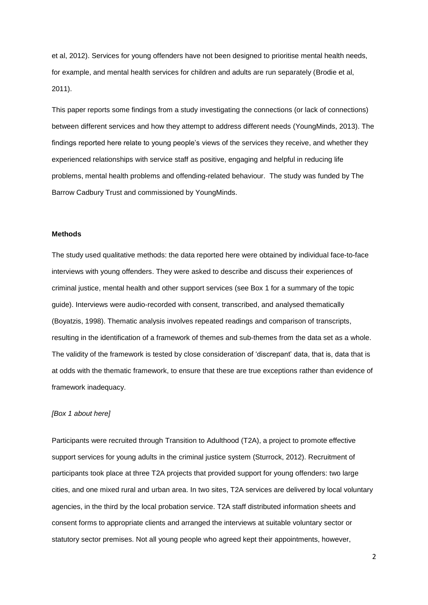et al, 2012). Services for young offenders have not been designed to prioritise mental health needs, for example, and mental health services for children and adults are run separately (Brodie et al, 2011).

This paper reports some findings from a study investigating the connections (or lack of connections) between different services and how they attempt to address different needs (YoungMinds, 2013). The findings reported here relate to young people's views of the services they receive, and whether they experienced relationships with service staff as positive, engaging and helpful in reducing life problems, mental health problems and offending-related behaviour. The study was funded by The Barrow Cadbury Trust and commissioned by YoungMinds.

# **Methods**

The study used qualitative methods: the data reported here were obtained by individual face-to-face interviews with young offenders. They were asked to describe and discuss their experiences of criminal justice, mental health and other support services (see Box 1 for a summary of the topic guide). Interviews were audio-recorded with consent, transcribed, and analysed thematically (Boyatzis, 1998). Thematic analysis involves repeated readings and comparison of transcripts, resulting in the identification of a framework of themes and sub-themes from the data set as a whole. The validity of the framework is tested by close consideration of 'discrepant' data, that is, data that is at odds with the thematic framework, to ensure that these are true exceptions rather than evidence of framework inadequacy.

# *[Box 1 about here]*

Participants were recruited through Transition to Adulthood (T2A), a project to promote effective support services for young adults in the criminal justice system (Sturrock, 2012). Recruitment of participants took place at three T2A projects that provided support for young offenders: two large cities, and one mixed rural and urban area. In two sites, T2A services are delivered by local voluntary agencies, in the third by the local probation service. T2A staff distributed information sheets and consent forms to appropriate clients and arranged the interviews at suitable voluntary sector or statutory sector premises. Not all young people who agreed kept their appointments, however,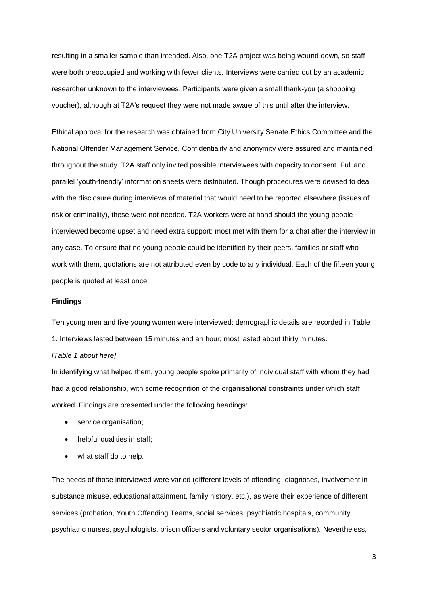resulting in a smaller sample than intended. Also, one T2A project was being wound down, so staff were both preoccupied and working with fewer clients. Interviews were carried out by an academic researcher unknown to the interviewees. Participants were given a small thank-you (a shopping voucher), although at T2A's request they were not made aware of this until after the interview.

Ethical approval for the research was obtained from City University Senate Ethics Committee and the National Offender Management Service. Confidentiality and anonymity were assured and maintained throughout the study. T2A staff only invited possible interviewees with capacity to consent. Full and parallel 'youth-friendly' information sheets were distributed. Though procedures were devised to deal with the disclosure during interviews of material that would need to be reported elsewhere (issues of risk or criminality), these were not needed. T2A workers were at hand should the young people interviewed become upset and need extra support: most met with them for a chat after the interview in any case. To ensure that no young people could be identified by their peers, families or staff who work with them, quotations are not attributed even by code to any individual. Each of the fifteen young people is quoted at least once.

#### **Findings**

Ten young men and five young women were interviewed: demographic details are recorded in Table 1. Interviews lasted between 15 minutes and an hour; most lasted about thirty minutes.

# *[Table 1 about here]*

In identifying what helped them, young people spoke primarily of individual staff with whom they had had a good relationship, with some recognition of the organisational constraints under which staff worked. Findings are presented under the following headings:

- **•** service organisation;
- helpful qualities in staff;
- what staff do to help.

The needs of those interviewed were varied (different levels of offending, diagnoses, involvement in substance misuse, educational attainment, family history, etc.), as were their experience of different services (probation, Youth Offending Teams, social services, psychiatric hospitals, community psychiatric nurses, psychologists, prison officers and voluntary sector organisations). Nevertheless,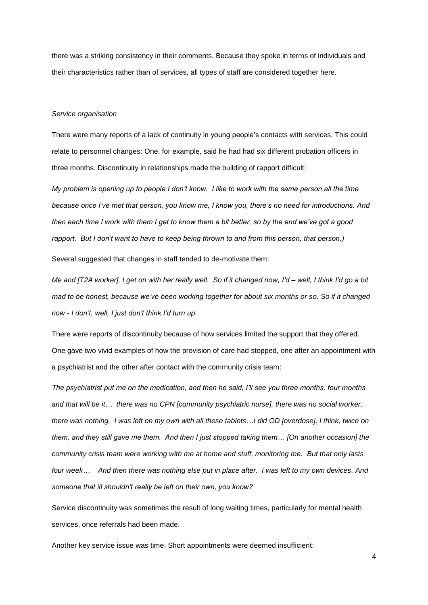there was a striking consistency in their comments. Because they spoke in terms of individuals and their characteristics rather than of services, all types of staff are considered together here.

#### *Service organisation*

There were many reports of a lack of continuity in young people's contacts with services. This could relate to personnel changes: One, for example, said he had had six different probation officers in three months. Discontinuity in relationships made the building of rapport difficult:

*My problem is opening up to people I don't know. I like to work with the same person all the time because once I've met that person, you know me, I know you, there's no need for introductions. And then each time I work with them I get to know them a bit better, so by the end we've got a good rapport. But I don't want to have to keep being thrown to and from this person, that person.)*

Several suggested that changes in staff tended to de-motivate them:

*Me and [T2A worker], I get on with her really well. So if it changed now, I'd – well, I think I'd go a bit mad to be honest, because we've been working together for about six months or so. So if it changed now - I don't, well, I just don't think I'd turn up.* 

There were reports of discontinuity because of how services limited the support that they offered. One gave two vivid examples of how the provision of care had stopped, one after an appointment with a psychiatrist and the other after contact with the community crisis team:

*The psychiatrist put me on the medication, and then he said, I'll see you three months, four months and that will be it… there was no CPN [community psychiatric nurse], there was no social worker, there was nothing. I was left on my own with all these tablets…I did OD [overdose], I think, twice on them, and they still gave me them. And then I just stopped taking them… [On another occasion] the community crisis team were working with me at home and stuff, monitoring me. But that only lasts four week… And then there was nothing else put in place after. I was left to my own devices. And someone that ill shouldn't really be left on their own, you know?* 

Service discontinuity was sometimes the result of long waiting times, particularly for mental health services, once referrals had been made.

Another key service issue was time. Short appointments were deemed insufficient: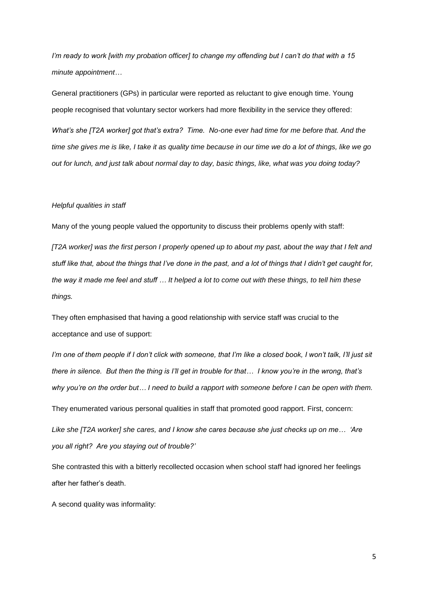*I'm ready to work [with my probation officer] to change my offending but I can't do that with a 15 minute appointment…*

General practitioners (GPs) in particular were reported as reluctant to give enough time. Young people recognised that voluntary sector workers had more flexibility in the service they offered:

*What's she [T2A worker] got that's extra? Time. No-one ever had time for me before that. And the time she gives me is like, I take it as quality time because in our time we do a lot of things, like we go out for lunch, and just talk about normal day to day, basic things, like, what was you doing today?* 

#### *Helpful qualities in staff*

Many of the young people valued the opportunity to discuss their problems openly with staff:

*[T2A worker] was the first person I properly opened up to about my past, about the way that I felt and stuff like that, about the things that I've done in the past, and a lot of things that I didn't get caught for, the way it made me feel and stuff … It helped a lot to come out with these things, to tell him these things.*

They often emphasised that having a good relationship with service staff was crucial to the acceptance and use of support:

*I'm one of them people if I don't click with someone, that I'm like a closed book, I won't talk, I'll just sit there in silence. But then the thing is I'll get in trouble for that… I know you're in the wrong, that's why you're on the order but… I need to build a rapport with someone before I can be open with them.* 

They enumerated various personal qualities in staff that promoted good rapport. First, concern:

*Like she [T2A worker] she cares, and I know she cares because she just checks up on me… 'Are you all right? Are you staying out of trouble?'* 

She contrasted this with a bitterly recollected occasion when school staff had ignored her feelings after her father's death.

A second quality was informality: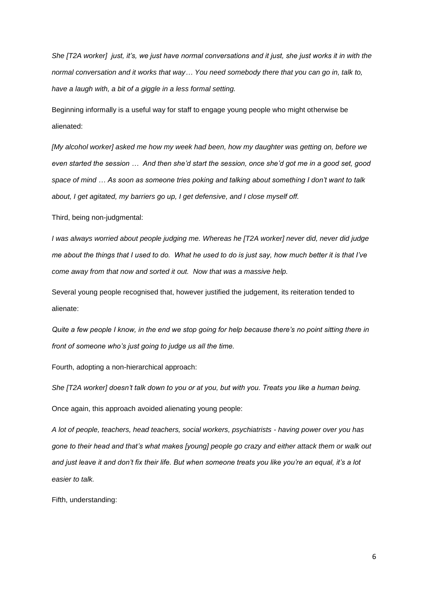*She* [T2A worker] just, it's, we just have normal conversations and it just, she just works it in with the *normal conversation and it works that way… You need somebody there that you can go in, talk to, have a laugh with, a bit of a giggle in a less formal setting.* 

Beginning informally is a useful way for staff to engage young people who might otherwise be alienated:

*[My alcohol worker] asked me how my week had been, how my daughter was getting on, before we even started the session … And then she'd start the session, once she'd got me in a good set, good space of mind … As soon as someone tries poking and talking about something I don't want to talk about, I get agitated, my barriers go up, I get defensive, and I close myself off.* 

Third, being non-judgmental:

*I was always worried about people judging me. Whereas he [T2A worker] never did, never did judge me about the things that I used to do. What he used to do is just say, how much better it is that I've come away from that now and sorted it out. Now that was a massive help.* 

Several young people recognised that, however justified the judgement, its reiteration tended to alienate:

*Quite a few people I know, in the end we stop going for help because there's no point sitting there in front of someone who's just going to judge us all the time.* 

Fourth, adopting a non-hierarchical approach:

*She [T2A worker] doesn't talk down to you or at you, but with you. Treats you like a human being.*  Once again, this approach avoided alienating young people:

*A lot of people, teachers, head teachers, social workers, psychiatrists - having power over you has gone to their head and that's what makes [young] people go crazy and either attack them or walk out and just leave it and don't fix their life. But when someone treats you like you're an equal, it's a lot easier to talk.* 

Fifth, understanding: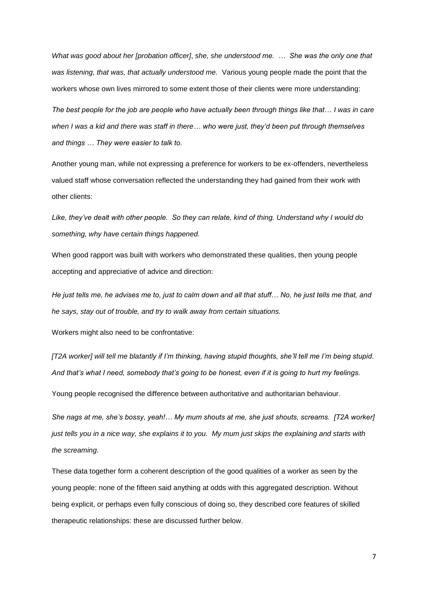*What was good about her [probation officer]*, *she, she understood me. … She was the only one that was listening, that was, that actually understood me.* Various young people made the point that the workers whose own lives mirrored to some extent those of their clients were more understanding:

*The best people for the job are people who have actually been through things like that… I was in care when I was a kid and there was staff in there… who were just, they'd been put through themselves and things … They were easier to talk to.* 

Another young man, while not expressing a preference for workers to be ex-offenders, nevertheless valued staff whose conversation reflected the understanding they had gained from their work with other clients:

*Like, they've dealt with other people. So they can relate, kind of thing. Understand why I would do something, why have certain things happened.* 

When good rapport was built with workers who demonstrated these qualities, then young people accepting and appreciative of advice and direction:

*He just tells me, he advises me to, just to calm down and all that stuff… No, he just tells me that, and he says, stay out of trouble, and try to walk away from certain situations.* 

Workers might also need to be confrontative:

*[T2A worker] will tell me blatantly if I'm thinking, having stupid thoughts, she'll tell me I'm being stupid. And that's what I need, somebody that's going to be honest, even if it is going to hurt my feelings.*  Young people recognised the difference between authoritative and authoritarian behaviour.

*She nags at me, she's bossy, yeah!… My mum shouts at me, she just shouts, screams. [T2A worker] just tells you in a nice way, she explains it to you. My mum just skips the explaining and starts with the screaming.* 

These data together form a coherent description of the good qualities of a worker as seen by the young people: none of the fifteen said anything at odds with this aggregated description. Without being explicit, or perhaps even fully conscious of doing so, they described core features of skilled therapeutic relationships: these are discussed further below.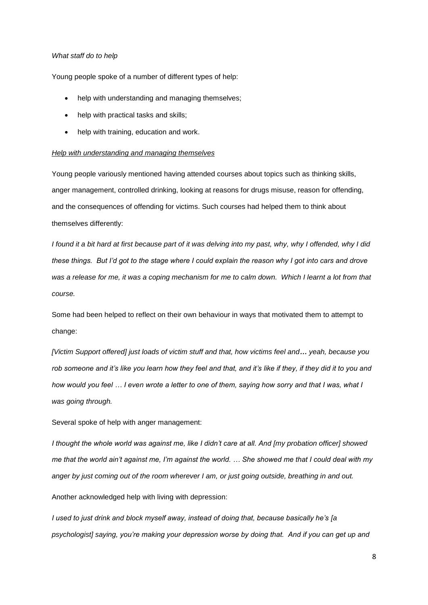#### *What staff do to help*

Young people spoke of a number of different types of help:

- help with understanding and managing themselves;
- help with practical tasks and skills;
- help with training, education and work.

### *Help with understanding and managing themselves*

Young people variously mentioned having attended courses about topics such as thinking skills, anger management, controlled drinking, looking at reasons for drugs misuse, reason for offending, and the consequences of offending for victims. Such courses had helped them to think about themselves differently:

*I found it a bit hard at first because part of it was delving into my past, why, why I offended, why I did these things. But I'd got to the stage where I could explain the reason why I got into cars and drove*  was a release for me, it was a coping mechanism for me to calm down. Which I learnt a lot from that *course.* 

Some had been helped to reflect on their own behaviour in ways that motivated them to attempt to change:

*[Victim Support offered] just loads of victim stuff and that, how victims feel and… yeah, because you rob someone and it's like you learn how they feel and that, and it's like if they, if they did it to you and how would you feel ... I even wrote a letter to one of them, saying how sorry and that I was, what I was going through.* 

Several spoke of help with anger management:

*I thought the whole world was against me, like I didn't care at all. And [my probation officer] showed me that the world ain't against me, I'm against the world. … She showed me that I could deal with my anger by just coming out of the room wherever I am, or just going outside, breathing in and out.*

Another acknowledged help with living with depression:

*I used to just drink and block myself away, instead of doing that, because basically he's [a psychologist] saying, you're making your depression worse by doing that. And if you can get up and*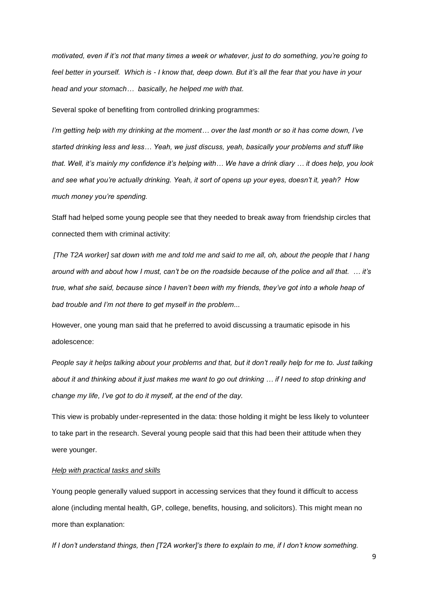*motivated, even if it's not that many times a week or whatever, just to do something, you're going to feel better in yourself. Which is - I know that, deep down. But it's all the fear that you have in your head and your stomach… basically, he helped me with that.* 

Several spoke of benefiting from controlled drinking programmes:

*I'm getting help with my drinking at the moment… over the last month or so it has come down, I've started drinking less and less… Yeah, we just discuss, yeah, basically your problems and stuff like that. Well, it's mainly my confidence it's helping with… We have a drink diary … it does help, you look and see what you're actually drinking. Yeah, it sort of opens up your eyes, doesn't it, yeah? How much money you're spending.* 

Staff had helped some young people see that they needed to break away from friendship circles that connected them with criminal activity:

*[The T2A worker] sat down with me and told me and said to me all, oh, about the people that I hang around with and about how I must, can't be on the roadside because of the police and all that. … it's true, what she said, because since I haven't been with my friends, they've got into a whole heap of bad trouble and I'm not there to get myself in the problem*...

However, one young man said that he preferred to avoid discussing a traumatic episode in his adolescence:

*People say it helps talking about your problems and that, but it don't really help for me to. Just talking about it and thinking about it just makes me want to go out drinking … if I need to stop drinking and change my life, I've got to do it myself, at the end of the day.* 

This view is probably under-represented in the data: those holding it might be less likely to volunteer to take part in the research. Several young people said that this had been their attitude when they were younger.

# *Help with practical tasks and skills*

Young people generally valued support in accessing services that they found it difficult to access alone (including mental health, GP, college, benefits, housing, and solicitors). This might mean no more than explanation:

*If I don't understand things, then [T2A worker]'s there to explain to me, if I don't know something.*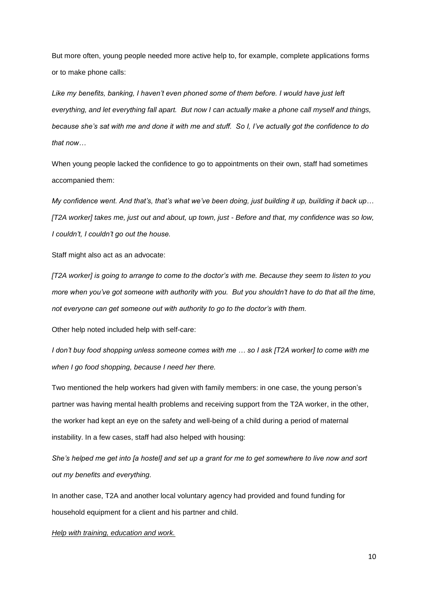But more often, young people needed more active help to, for example, complete applications forms or to make phone calls:

Like my benefits, banking, I haven't even phoned some of them before. I would have just left *everything, and let everything fall apart. But now I can actually make a phone call myself and things, because she's sat with me and done it with me and stuff. So I, I've actually got the confidence to do that now…* 

When young people lacked the confidence to go to appointments on their own, staff had sometimes accompanied them:

*My confidence went. And that's, that's what we've been doing, just building it up, building it back up… [T2A worker] takes me, just out and about, up town, just - Before and that, my confidence was so low, I couldn't, I couldn't go out the house.* 

Staff might also act as an advocate:

*[T2A worker] is going to arrange to come to the doctor's with me. Because they seem to listen to you more when you've got someone with authority with you. But you shouldn't have to do that all the time, not everyone can get someone out with authority to go to the doctor's with them.* 

Other help noted included help with self-care:

*I don't buy food shopping unless someone comes with me … so I ask [T2A worker] to come with me when I go food shopping, because I need her there.* 

Two mentioned the help workers had given with family members: in one case, the young person's partner was having mental health problems and receiving support from the T2A worker, in the other, the worker had kept an eye on the safety and well-being of a child during a period of maternal instability. In a few cases, staff had also helped with housing:

*She's helped me get into [a hostel] and set up a grant for me to get somewhere to live now and sort out my benefits and everything.*

In another case, T2A and another local voluntary agency had provided and found funding for household equipment for a client and his partner and child.

*Help with training, education and work.*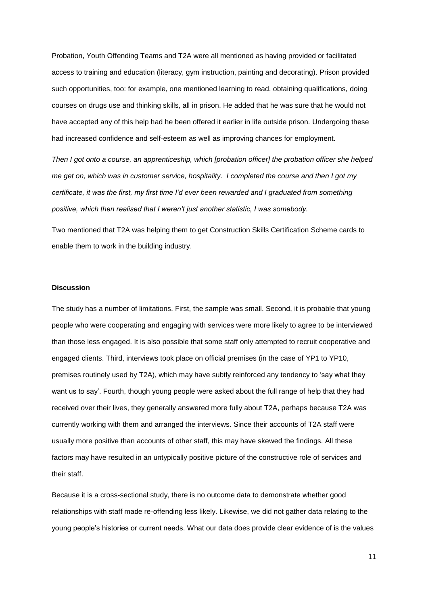Probation, Youth Offending Teams and T2A were all mentioned as having provided or facilitated access to training and education (literacy, gym instruction, painting and decorating). Prison provided such opportunities, too: for example, one mentioned learning to read, obtaining qualifications, doing courses on drugs use and thinking skills, all in prison. He added that he was sure that he would not have accepted any of this help had he been offered it earlier in life outside prison. Undergoing these had increased confidence and self-esteem as well as improving chances for employment.

*Then I got onto a course, an apprenticeship, which [probation officer] the probation officer she helped me get on, which was in customer service, hospitality. I completed the course and then I got my certificate, it was the first, my first time I'd ever been rewarded and I graduated from something positive, which then realised that I weren't just another statistic, I was somebody.* 

Two mentioned that T2A was helping them to get Construction Skills Certification Scheme cards to enable them to work in the building industry.

# **Discussion**

The study has a number of limitations. First, the sample was small. Second, it is probable that young people who were cooperating and engaging with services were more likely to agree to be interviewed than those less engaged. It is also possible that some staff only attempted to recruit cooperative and engaged clients. Third, interviews took place on official premises (in the case of YP1 to YP10, premises routinely used by T2A), which may have subtly reinforced any tendency to 'say what they want us to say'. Fourth, though young people were asked about the full range of help that they had received over their lives, they generally answered more fully about T2A, perhaps because T2A was currently working with them and arranged the interviews. Since their accounts of T2A staff were usually more positive than accounts of other staff, this may have skewed the findings. All these factors may have resulted in an untypically positive picture of the constructive role of services and their staff.

Because it is a cross-sectional study, there is no outcome data to demonstrate whether good relationships with staff made re-offending less likely. Likewise, we did not gather data relating to the young people's histories or current needs. What our data does provide clear evidence of is the values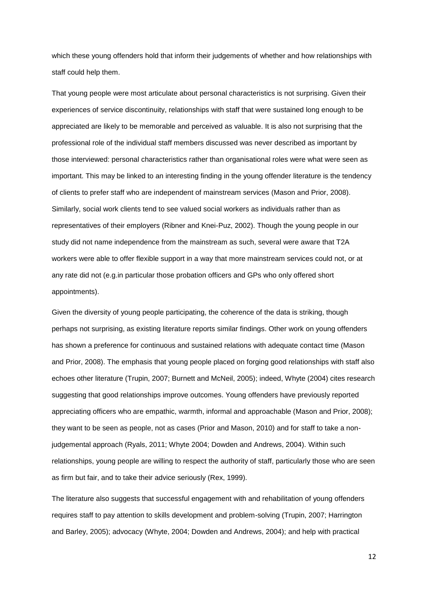which these young offenders hold that inform their judgements of whether and how relationships with staff could help them.

That young people were most articulate about personal characteristics is not surprising. Given their experiences of service discontinuity, relationships with staff that were sustained long enough to be appreciated are likely to be memorable and perceived as valuable. It is also not surprising that the professional role of the individual staff members discussed was never described as important by those interviewed: personal characteristics rather than organisational roles were what were seen as important. This may be linked to an interesting finding in the young offender literature is the tendency of clients to prefer staff who are independent of mainstream services (Mason and Prior, 2008). Similarly, social work clients tend to see valued social workers as individuals rather than as representatives of their employers (Ribner and Knei-Puz, 2002). Though the young people in our study did not name independence from the mainstream as such, several were aware that T2A workers were able to offer flexible support in a way that more mainstream services could not, or at any rate did not (e.g.in particular those probation officers and GPs who only offered short appointments).

Given the diversity of young people participating, the coherence of the data is striking, though perhaps not surprising, as existing literature reports similar findings. Other work on young offenders has shown a preference for continuous and sustained relations with adequate contact time (Mason and Prior, 2008). The emphasis that young people placed on forging good relationships with staff also echoes other literature (Trupin, 2007; Burnett and McNeil, 2005); indeed, Whyte (2004) cites research suggesting that good relationships improve outcomes. Young offenders have previously reported appreciating officers who are empathic, warmth, informal and approachable (Mason and Prior, 2008); they want to be seen as people, not as cases (Prior and Mason, 2010) and for staff to take a nonjudgemental approach (Ryals, 2011; Whyte 2004; Dowden and Andrews, 2004). Within such relationships, young people are willing to respect the authority of staff, particularly those who are seen as firm but fair, and to take their advice seriously (Rex, 1999).

The literature also suggests that successful engagement with and rehabilitation of young offenders requires staff to pay attention to skills development and problem-solving (Trupin, 2007; Harrington and Barley, 2005); advocacy (Whyte, 2004; Dowden and Andrews, 2004); and help with practical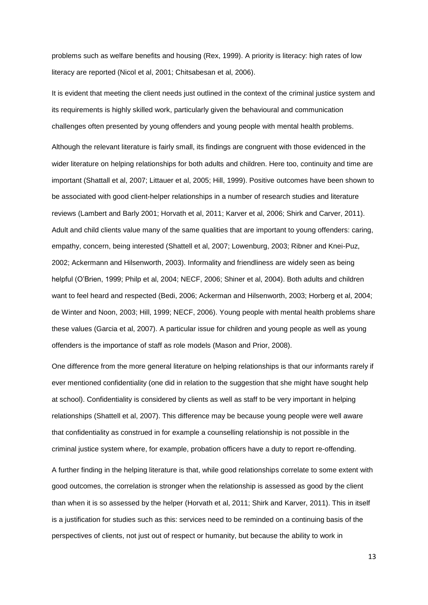problems such as welfare benefits and housing (Rex, 1999). A priority is literacy: high rates of low literacy are reported (Nicol et al, 2001; Chitsabesan et al, 2006).

It is evident that meeting the client needs just outlined in the context of the criminal justice system and its requirements is highly skilled work, particularly given the behavioural and communication challenges often presented by young offenders and young people with mental health problems.

Although the relevant literature is fairly small, its findings are congruent with those evidenced in the wider literature on helping relationships for both adults and children. Here too, continuity and time are important (Shattall et al, 2007; Littauer et al, 2005; Hill, 1999). Positive outcomes have been shown to be associated with good client-helper relationships in a number of research studies and literature reviews (Lambert and Barly 2001; Horvath et al, 2011; Karver et al, 2006; Shirk and Carver, 2011). Adult and child clients value many of the same qualities that are important to young offenders: caring, empathy, concern, being interested (Shattell et al, 2007; Lowenburg, 2003; Ribner and Knei-Puz, 2002; Ackermann and Hilsenworth, 2003). Informality and friendliness are widely seen as being helpful (O'Brien, 1999; Philp et al, 2004; NECF, 2006; Shiner et al, 2004). Both adults and children want to feel heard and respected (Bedi, 2006; Ackerman and Hilsenworth, 2003; Horberg et al, 2004; de Winter and Noon, 2003; Hill, 1999; NECF, 2006). Young people with mental health problems share these values (Garcia et al, 2007). A particular issue for children and young people as well as young offenders is the importance of staff as role models (Mason and Prior, 2008).

One difference from the more general literature on helping relationships is that our informants rarely if ever mentioned confidentiality (one did in relation to the suggestion that she might have sought help at school). Confidentiality is considered by clients as well as staff to be very important in helping relationships (Shattell et al, 2007). This difference may be because young people were well aware that confidentiality as construed in for example a counselling relationship is not possible in the criminal justice system where, for example, probation officers have a duty to report re-offending.

A further finding in the helping literature is that, while good relationships correlate to some extent with good outcomes, the correlation is stronger when the relationship is assessed as good by the client than when it is so assessed by the helper (Horvath et al, 2011; Shirk and Karver, 2011). This in itself is a justification for studies such as this: services need to be reminded on a continuing basis of the perspectives of clients, not just out of respect or humanity, but because the ability to work in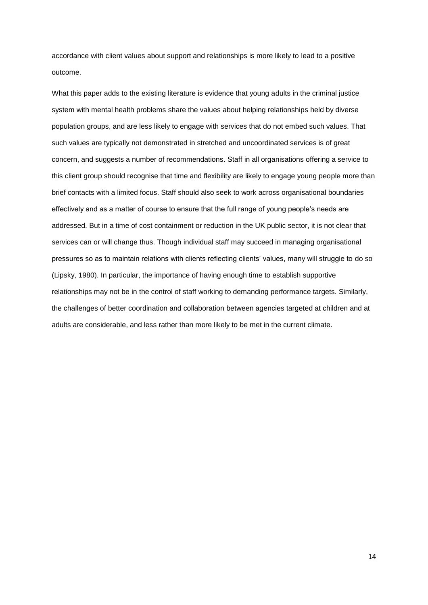accordance with client values about support and relationships is more likely to lead to a positive outcome.

What this paper adds to the existing literature is evidence that young adults in the criminal justice system with mental health problems share the values about helping relationships held by diverse population groups, and are less likely to engage with services that do not embed such values. That such values are typically not demonstrated in stretched and uncoordinated services is of great concern, and suggests a number of recommendations. Staff in all organisations offering a service to this client group should recognise that time and flexibility are likely to engage young people more than brief contacts with a limited focus. Staff should also seek to work across organisational boundaries effectively and as a matter of course to ensure that the full range of young people's needs are addressed. But in a time of cost containment or reduction in the UK public sector, it is not clear that services can or will change thus. Though individual staff may succeed in managing organisational pressures so as to maintain relations with clients reflecting clients' values, many will struggle to do so (Lipsky, 1980). In particular, the importance of having enough time to establish supportive relationships may not be in the control of staff working to demanding performance targets. Similarly, the challenges of better coordination and collaboration between agencies targeted at children and at adults are considerable, and less rather than more likely to be met in the current climate.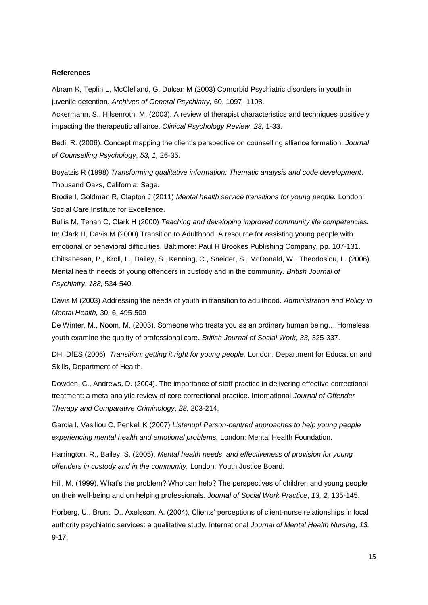# **References**

Abram K, Teplin L, McClelland, G, Dulcan M (2003) Comorbid Psychiatric disorders in youth in juvenile detention. *Archives of General Psychiatry,* 60, 1097- 1108.

Ackermann, S., Hilsenroth, M. (2003). A review of therapist characteristics and techniques positively impacting the therapeutic alliance. *Clinical Psychology Review*, *23,* 1-33.

Bedi, R. (2006). Concept mapping the client's perspective on counselling alliance formation. *Journal of Counselling Psychology*, *53, 1,* 26-35.

Boyatzis R (1998) *Transforming qualitative information: Thematic analysis and code development*. Thousand Oaks, California: Sage.

Brodie I, Goldman R, Clapton J (2011) *Mental health service transitions for young people.* London: Social Care Institute for Excellence.

Bullis M, Tehan C, Clark H (2000) *Teaching and developing improved community life competencies.* In: Clark H, Davis M (2000) Transition to Adulthood. A resource for assisting young people with emotional or behavioral difficulties. Baltimore: Paul H Brookes Publishing Company, pp. 107-131. Chitsabesan, P., Kroll, L., Bailey, S., Kenning, C., Sneider, S., McDonald, W., Theodosiou, L. (2006). Mental health needs of young offenders in custody and in the community. *British Journal of Psychiatry*, *188,* 534-540.

Davis M (2003) Addressing the needs of youth in transition to adulthood. *Administration and Policy in Mental Health,* 30, 6, 495-509

De Winter, M., Noom, M. (2003). Someone who treats you as an ordinary human being… Homeless youth examine the quality of professional care. *British Journal of Social Work*, *33,* 325-337.

DH, DfES (2006) *Transition: getting it right for young people.* London, Department for Education and Skills, Department of Health.

Dowden, C., Andrews, D. (2004). The importance of staff practice in delivering effective correctional treatment: a meta-analytic review of core correctional practice. International *Journal of Offender Therapy and Comparative Criminology*, *28,* 203-214.

Garcia I, Vasiliou C, Penkell K (2007) *Listenup! Person-centred approaches to help young people experiencing mental health and emotional problems.* London: Mental Health Foundation.

Harrington, R., Bailey, S. (2005). *Mental health needs and effectiveness of provision for young offenders in custody and in the community.* London: Youth Justice Board.

Hill, M. (1999). What's the problem? Who can help? The perspectives of children and young people on their well-being and on helping professionals. *Journal of Social Work Practice*, *13, 2,* 135-145.

Horberg, U., Brunt, D., Axelsson, A. (2004). Clients' perceptions of client-nurse relationships in local authority psychiatric services: a qualitative study. International *Journal of Mental Health Nursing*, *13,*  9-17.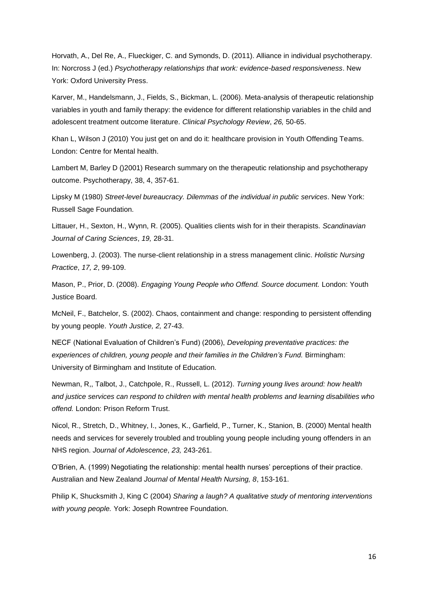Horvath, A., Del Re, A., Flueckiger, C. and Symonds, D. (2011). Alliance in individual psychotherapy. In: Norcross J (ed.) *Psychotherapy relationships that work: evidence-based responsiveness*. New York: Oxford University Press.

Karver, M., Handelsmann, J., Fields, S., Bickman, L. (2006). Meta-analysis of therapeutic relationship variables in youth and family therapy: the evidence for different relationship variables in the child and adolescent treatment outcome literature. *Clinical Psychology Review*, *26,* 50-65.

Khan L, Wilson J (2010) You just get on and do it: healthcare provision in Youth Offending Teams. London: Centre for Mental health.

Lambert M, Barley D ()2001) Research summary on the therapeutic relationship and psychotherapy outcome. Psychotherapy, 38, 4, 357-61.

Lipsky M (1980) *Street-level bureaucracy. Dilemmas of the individual in public services*. New York: Russell Sage Foundation.

Littauer, H., Sexton, H., Wynn, R. (2005). Qualities clients wish for in their therapists. *Scandinavian Journal of Caring Sciences*, *19,* 28-31.

Lowenberg, J. (2003). The nurse-client relationship in a stress management clinic. *Holistic Nursing Practice*, *17, 2*, 99-109.

Mason, P., Prior, D. (2008). *Engaging Young People who Offend. Source document.* London: Youth Justice Board.

McNeil, F., Batchelor, S. (2002). Chaos, containment and change: responding to persistent offending by young people. *Youth Justice, 2,* 27-43.

NECF (National Evaluation of Children's Fund) (2006), *Developing preventative practices: the experiences of children, young people and their families in the Children's Fund.* Birmingham: University of Birmingham and Institute of Education.

Newman, R,, Talbot, J., Catchpole, R., Russell, L. (2012). *Turning young lives around: how health and justice services can respond to children with mental health problems and learning disabilities who offend.* London: Prison Reform Trust.

Nicol, R., Stretch, D., Whitney, I., Jones, K., Garfield, P., Turner, K., Stanion, B. (2000) Mental health needs and services for severely troubled and troubling young people including young offenders in an NHS region. *Journal of Adolescence*, *23,* 243-261.

O'Brien, A. (1999) Negotiating the relationship: mental health nurses' perceptions of their practice. Australian and New Zealand *Journal of Mental Health Nursing, 8*, 153-161.

Philip K, Shucksmith J, King C (2004) *Sharing a laugh? A qualitative study of mentoring interventions with young people.* York: Joseph Rowntree Foundation.